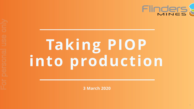# Taking PIOP into production

3 March 2020

# Flinders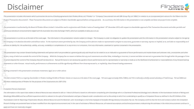# Disclaimer

This presentation includes information which summarises the terms of binding agreements that Flinders Mines Ltd ("Flinders" or "Company") has entered into with BBI Group Pty Ltd ("BBIG") in relation to an incorporated join Project ("Transaction Documents"). These Transaction Documents are subject to Flinders' shareholder approval before coming operative. As a summary, the information in this presentation is not complete and does not purport

This presentation is authorised by the Board of Flinders Mines Limited. It should be read in conjunction with Flinders' notice of meeting dated 19th December 2019, with respect to shareholder approval of the Transaction Do continuous disclosure announcements lodged with the Australian Securities Exchange ("ASX"), which are available at www.asx.com.au.

This presentation is current as at the date of the cover page. The information in this presentation remains subject to change. The Company is under no obligation to update the presentation and the information in this prese the Company in its absolute discretion and without notice. To the maximum extent permitted by law, the Company and its advisers make no representation and give no assurance, guarantee or warranty, express or implied, as to  $\equiv$  assume no liability for, the authenticity, validity, accuracy, suitability or completeness of, or any errors in or omissions, from any information, statement or opinion contained in the presentation.

This presentation may contain forward looking statements and opinion which are provided as a general guide only and should not be relied on as an indication or guarantee of future performance and involve known and unknown factors, many of which are outside the control of the Company. While the Company has no reason to believe that any such statements are either false, misleading or incorrect, it cannot and does not warrant or guarantee that or actions beyond the control of the Company they will not become so. Past performance is not necessarily a guide to future performance and no representation or warranty is made as to the likelihood of achievement or reaso statements or other forecast. Actual results, performance or achievements could be significantly different from those expressed in, or implied by, these forward-looking statements. Proje<br>
This Form Continued Continued in the Continued of the Continued of the Continued of the Continued of the Continued of the Continued of the Continued of Continued of Continued Continued Continued Continued Continued

TIO (NZ) Limited ("TIO") is a majority shareholder in Flinders holding 55.56% of Flinders' shares on issue as at the date of the cover page. TIO owns approximately 94% of BBIG, and TIO is indirectly a wholly-owned subsidia therefore related parties of Flinders for the purposes of the Corporations Act 2001 (Cth).

The information in this report that relates to Mineral Resources was released to ASX on 1 March 2018 and is based on information compiled by John Graindorge who is a Chartered Professional (Geology) and a Member of the Aus Metallurgy (MAusIMM) and has sufficient experience which is relevant to the style of mineralisation and type of deposit under consideration and to the activity to which he is undertaking to qualify as a Competent Person as "Australasian Code for Reporting of Exploration Results, Mineral Resources and Ore Reserves". John Graindorge is a full-time employee of Snowden Mining Industry Consultants Pty Ltd. The Company confirms that the form and c Person's findings are presented have not been modified from the original announcement and, in the case of estimates of Mineral Resources, all material assumptions and technical parameters underpinning the estimates in the apply and have not materially changed.



Nothing contained in this presentation constitutes investment, legal, tax or other advice.

### Competent Persons Statement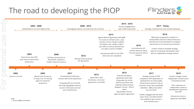# The road to developing the PIOP

Maturation programme resulted in a revised JORC Code 2012 Mineral Resource estimate and recommendation to progress discussions on an infrastructure solution

Further review of available strategic options to maximise shareholder value with an independent strategic adviser.

### 2018

Entered into Option Agreement with Todd Corporation for \$10m upfront plus \$55m and ongoing royalty (varying between 1% and 1.75% of sales) Shareholders did not approve Option Agreement

### 2015

Unconditional offmarket takeover bid by TIO and acquired 53% of 2016

Flinders



Strategic review of PIOP completed, PIOP dependent on development of a financeable infrastructure solution to be an economic asset; two possibilities identified – BBIG and another iron ore miner

Flinders engaged with the thirdparty miner, but determined it was unlikely to gain access to their infrastructure

### 2017

Further strategic review, Independent Infrastructure Committee formed

PwC undertook an independent review of development options for the PIOP

Entered into Farm-in Agreement with BBIG

### 2019

with Todd Corporation

### 2014 - 2016

Strategic reassessment and commercialisation

### 2017 - Today

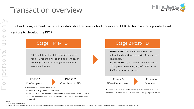## Transaction overview

The binding agreements with BBIG establish a framework for Flinders and BBIG to form an incorporated joint venture to develop the PIOP

> BBIG<sup>1</sup> will fund feasibility studies required for a FID for the PIOP spending \$15m pa, in exchange for a 10% voting interest and no economic interest



### Stage 1 Pre-FID

MINING OPTION – Flinders interest is diluted and continues as a 40% free-carried<sup>2</sup> shareholder ROYALTY OPTION – Flinders converts to a

2.5% gross revenue royalty of 100% of the PIOP ore sales / disposals

### Stage 2 Post-FID

*Notes*

1 Or an entity controlled by it

For personal use onlypersonal

2 Subject to pro rata responsibility for capital cost overruns above, in some circumstances, an appropriate contingency during construction and costs associated with provision of any required completion security*.* 





### Phase 1

Pre-Completion

Phase 3 FID to Development



"Off-Ramps" for Flinders prior to FID

- Failure to satisfy Conditions Precedent
- BBIG failure to bring valid FID proposal during the pre-FID period (or, at 30 months, if Flinders reasonably believes BBIG will fail, can seek alternative proposals)

Decision to move to a royalty option is in the hands of minority shareholders if the FMS Board sees this as an appropriate option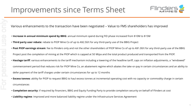Various enhancements to the transaction have been negotiated – Value to FMS shareholders has improved

- Increase in annual minimum spend by BBIG: annual minimum spend during FID phase increased from \$10M to \$15M
- Third party user rebate: rebate to PIOP Mine Co of up to A\$2.50/t for any third-party use of the BBIG Project
- Post PIOP earnings stream: fee to Flinders only and not the other shareholders of PIOP Mine Co of up to A\$1.00/t for any third-party use of the BBIG Project post the completion of mining at the PIOP which is capped at 50 Mtpa and the total product produced and transported from the PIOP. • Haulage tariff: various enhancements to the tariff mechanism including a lowering of the headline tariff, caps on inflation adjustments, a "windowed" commencement period that reduces risk for PIOP Mine Co, an abatement regime which abates the take-or-pay in certain circumstances and an ability to defer payment of the tariff charges under certain circumstances for up to 12 months
- Excess tonnes: ability for PIOP to request BBIG to haul excess tonnes at incremental operating cost with no capacity or commodity charge in certain circumstances
- Completion security: if required by financiers, BBIG and Equity Funding Party to provide completion security on behalf of Flinders at cost
- Liability regime: Improved and more balanced liability regime under the Infrastructure Services Agreement

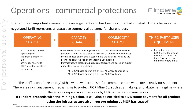# Operations - commercial protections

The tariff is on a 'take or pay' with a window mechanism for commencement when ore is ready for shipment There are risk management mechanisms to protect PIOP Mine Co, such as a make up and abatement regime where there is a non-provision of services by BBIG in certain circumstances If Flinders proceeds with the Mining Option, it will also be entitled to a \$1/tonne payment for all product using the infrastructure after iron ore mining at PIOP has ceased<sup>1</sup>

The Tariff is an important element of the arrangements and has been documented in detail. Flinders believes the negotiated Tariff represents an attractive commercial outcome for shareholders



- A\$10.25/t based on iron ore price of A\$60/dry tonne; up to
- A\$19.25/t based on iron ore price of A\$90/dry tonne



- 
- 

1. Capped at the total volume of tonnes shipped by PIOP Mine Co prior to cessation of mining and at 50 million wet tonnes per annum, and not subject to escalation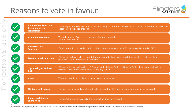# Reasons to vote in favour

Notes

| <b>Independent Directors</b><br><b>Recommend the</b><br><b>Transaction</b> | The Independent Flinders Directors unanimously recommend to<br>absence of a superior proposal                               |
|----------------------------------------------------------------------------|-----------------------------------------------------------------------------------------------------------------------------|
| <b>Fair and Reasonable</b>                                                 | The Independent Expert has concluded that the transaction is<br>fair and reasonable                                         |
| <b>Infrastructure</b><br><b>Solution</b>                                   | If the transaction proceeds, it will provide an infrastructure solut                                                        |
| <b>Free Carry to Production</b>                                            | Flinders shareholders free-carried <sup>1</sup> through to production, minim<br>potential dilution to Flinders Shareholders |
| <b>Optionality to Reduce</b><br><b>Risk</b>                                | Flinders will have optionality at FID to select the Mining Option of<br>will need to approve any move to the Royalty Option |
| <b>Value</b>                                                               | There is potential to achieve an attractive value outcome                                                                   |
| <b>No Superior Proposal</b>                                                | Flinders has no immediate alternative to develop the PIOP and r                                                             |
| <b>Impact on Flinders</b><br><b>Share Price</b>                            | Flinders' share price may fall if the transaction does not proceed                                                          |
|                                                                            |                                                                                                                             |

1. Subject to pro rata responsibility for capital cost overruns above, in some circumstances, an appropriate contingency during construction and costs associated with provision of any required completion security



### that you vote in favour of the transaction in the

ion for the currently stranded PIOP

hising future funding requirements and

or Royalty Option. Minority shareholders

no superior proposal has emerged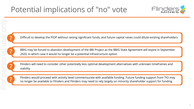# Potential implications of "no" vote

Difficult to develop the PIOP without raising significant funds, and future capital raises could dilute existing shareholders

BBIG may be forced to abandon development of the BBI Project as the BBIG State Agreement will expire in September 2020, in which case it would no longer be a potential infrastructure option

Flinders will need to consider other potentially less optimal development alternatives with unknown timeframes and viability

Flinders would proceed with activity level commensurate with available funding. Future funding support from TIO may no longer be available to Flinders and Flinders may need to rely largely on minority shareholder support for funding